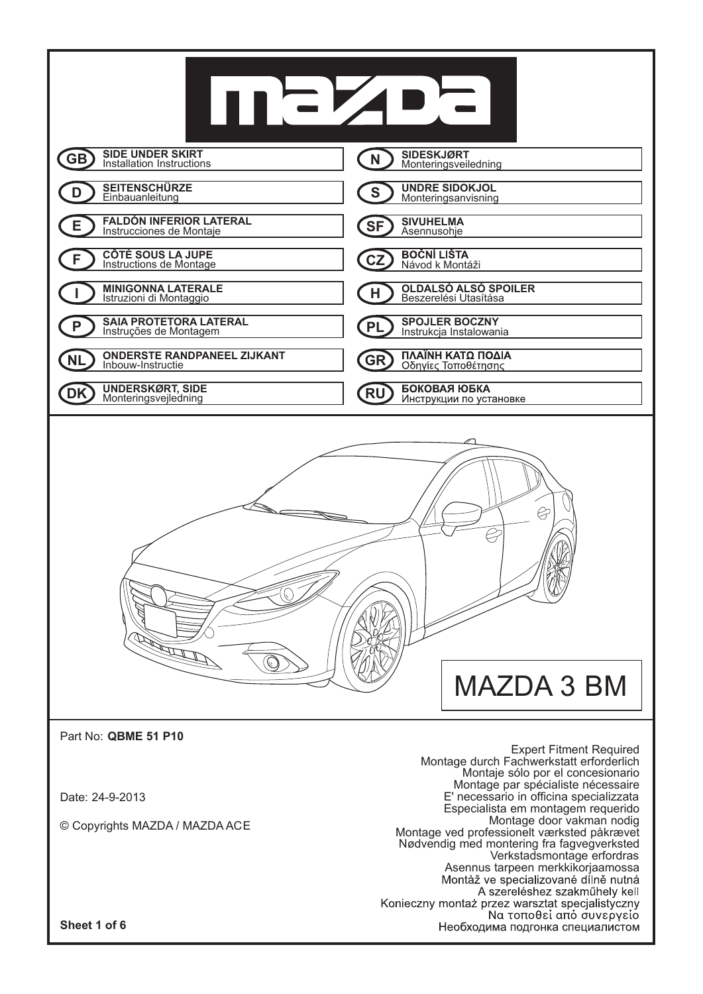

**Sheet 1 of 6**

Asennus tarpeen merkkikorjaamossa<br>Montàž ve specializované dílně nutná A szereléshez szakműhely kell Konieczny montaż przez warsztat specjalistyczny Να τοποθεί από συνεργείο Необходима подгонка специалистом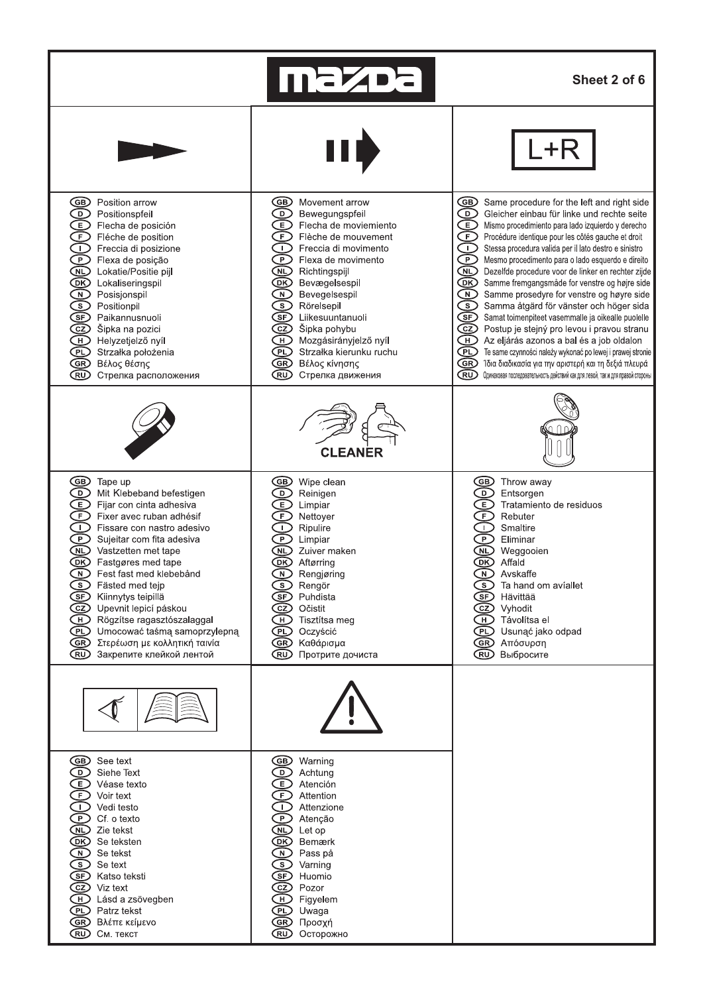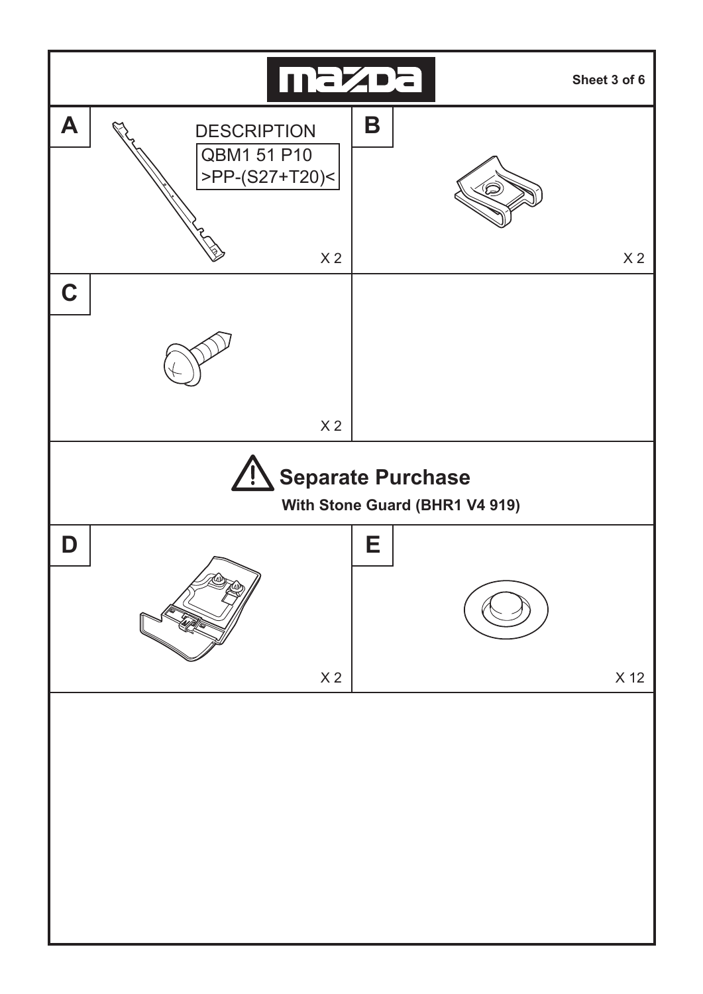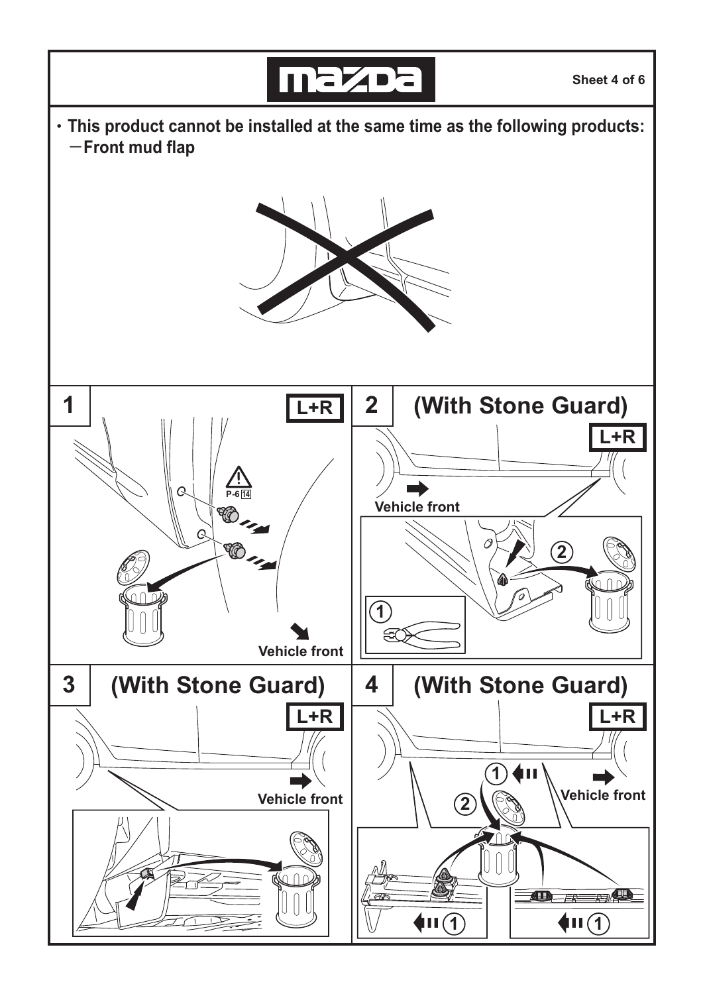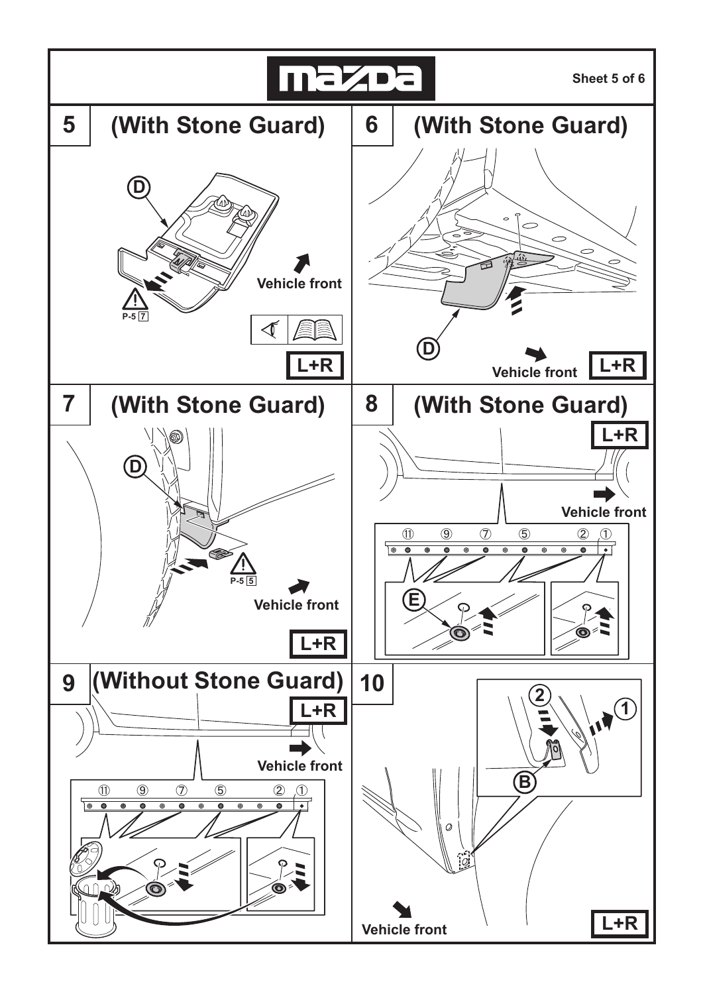